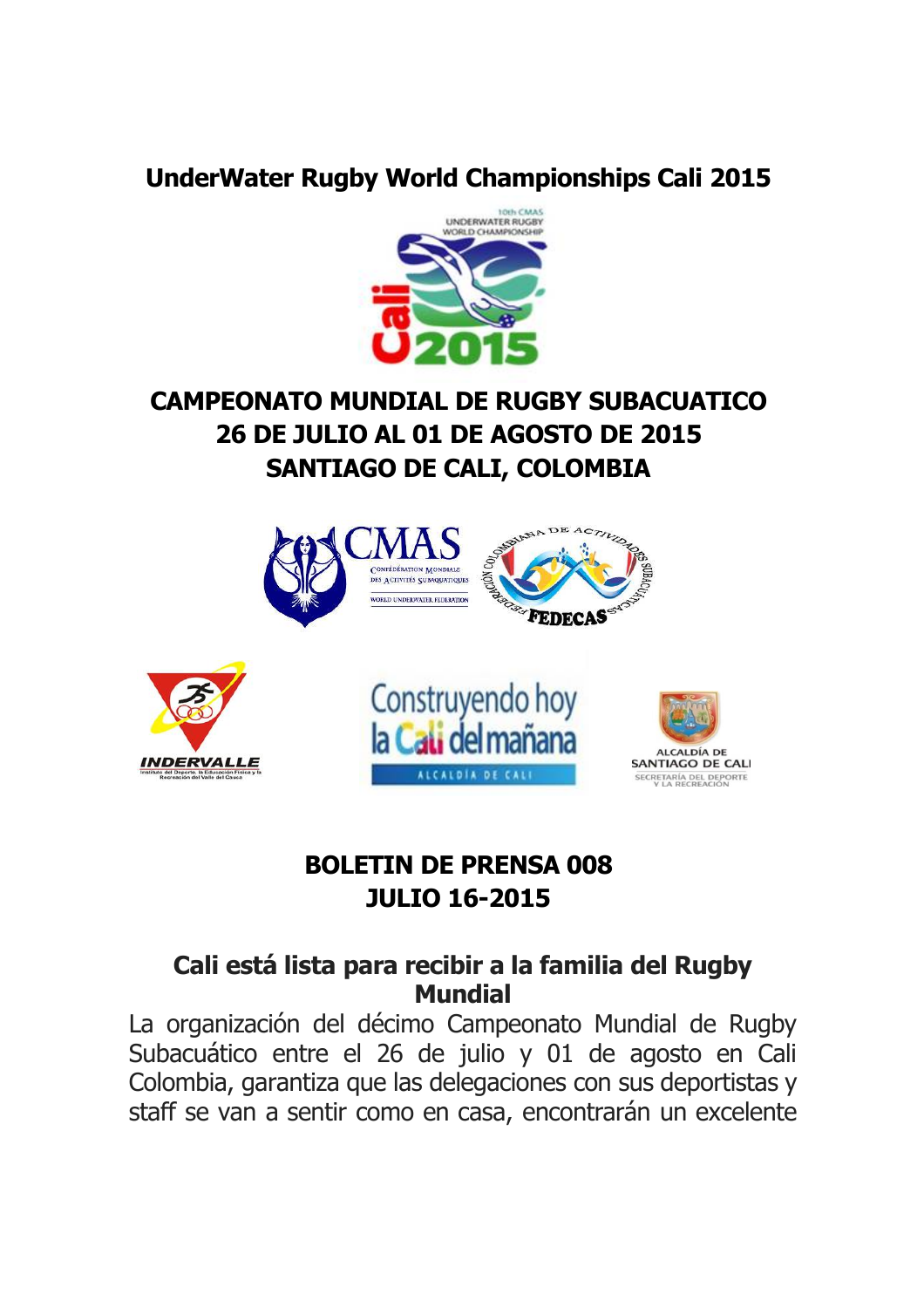## **UnderWater Rugby World Championships Cali 2015**



# **CAMPEONATO MUNDIAL DE RUGBY SUBACUATICO 26 DE JULIO AL 01 DE AGOSTO DE 2015 SANTIAGO DE CALI, COLOMBIA**









## **BOLETIN DE PRENSA 008 JULIO 16-2015**

## **Cali está lista para recibir a la familia del Rugby Mundial**

La organización del décimo Campeonato Mundial de Rugby Subacuático entre el 26 de julio y 01 de agosto en Cali Colombia, garantiza que las delegaciones con sus deportistas y staff se van a sentir como en casa, encontrarán un excelente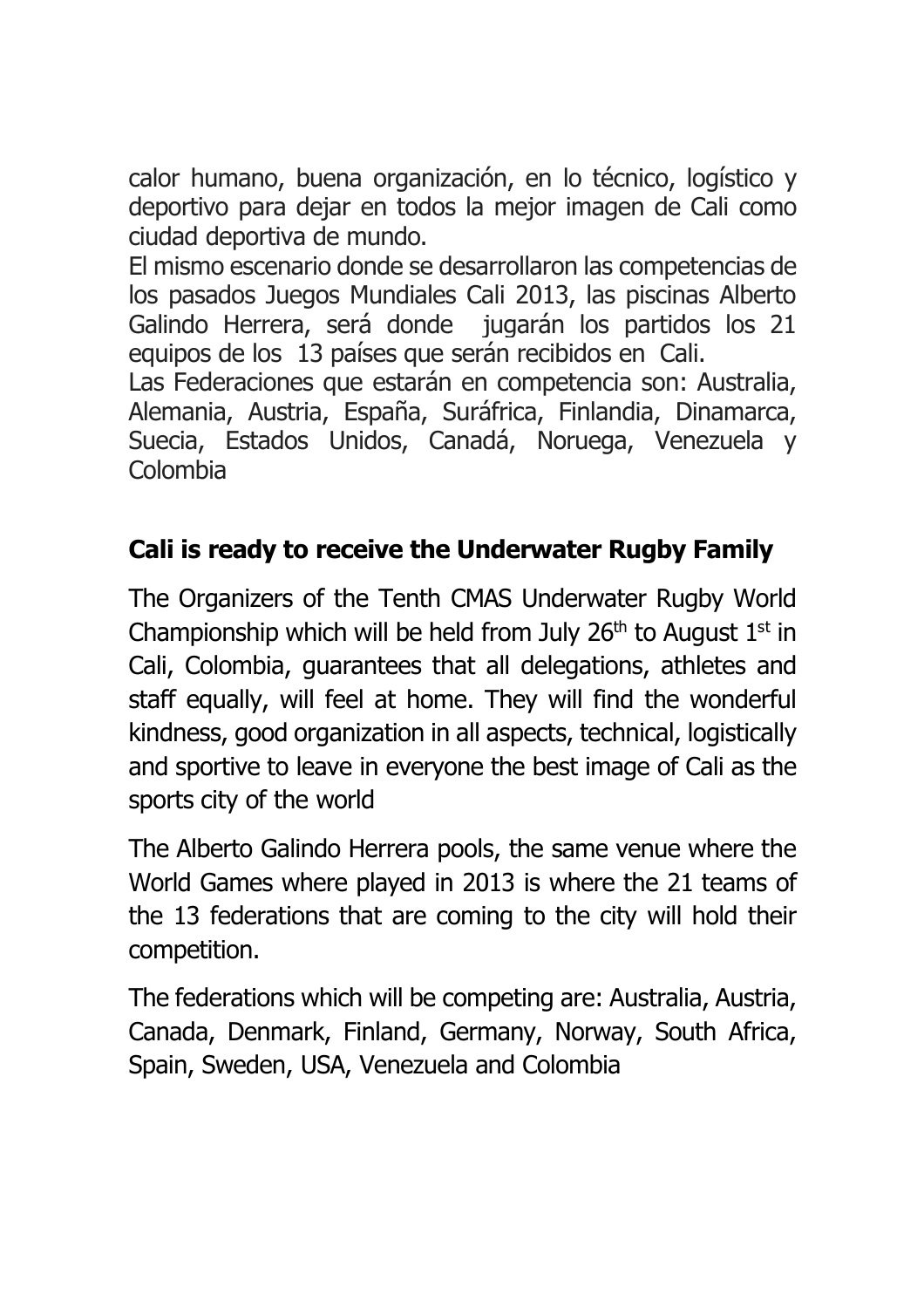calor humano, buena organización, en lo técnico, logístico y deportivo para dejar en todos la mejor imagen de Cali como ciudad deportiva de mundo.

El mismo escenario donde se desarrollaron las competencias de los pasados Juegos Mundiales Cali 2013, las piscinas Alberto Galindo Herrera, será donde jugarán los partidos los 21 equipos de los 13 países que serán recibidos en Cali.

Las Federaciones que estarán en competencia son: Australia, Alemania, Austria, España, Suráfrica, Finlandia, Dinamarca, Suecia, Estados Unidos, Canadá, Noruega, Venezuela y Colombia

## **Cali is ready to receive the Underwater Rugby Family**

The Organizers of the Tenth CMAS Underwater Rugby World Championship which will be held from July 26<sup>th</sup> to August  $1<sup>st</sup>$  in Cali, Colombia, guarantees that all delegations, athletes and staff equally, will feel at home. They will find the wonderful kindness, good organization in all aspects, technical, logistically and sportive to leave in everyone the best image of Cali as the sports city of the world

The Alberto Galindo Herrera pools, the same venue where the World Games where played in 2013 is where the 21 teams of the 13 federations that are coming to the city will hold their competition.

The federations which will be competing are: Australia, Austria, Canada, Denmark, Finland, Germany, Norway, South Africa, Spain, Sweden, USA, Venezuela and Colombia